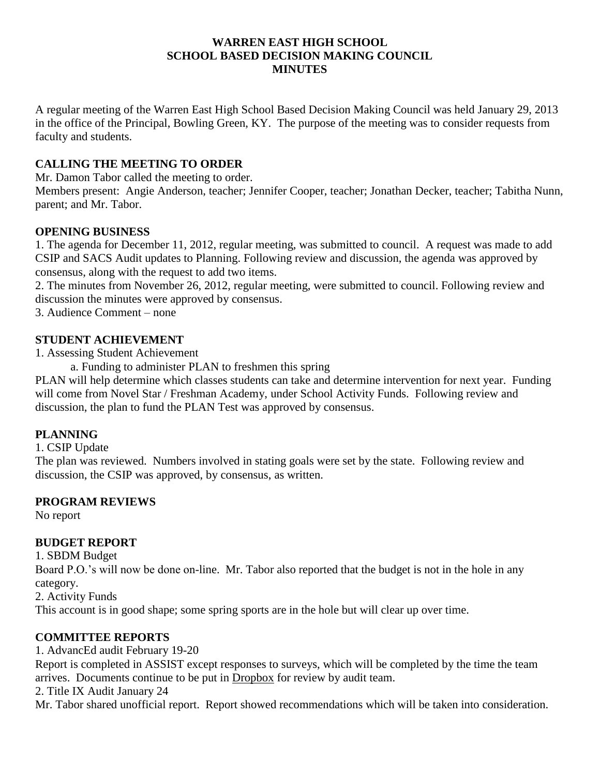#### **WARREN EAST HIGH SCHOOL SCHOOL BASED DECISION MAKING COUNCIL MINUTES**

A regular meeting of the Warren East High School Based Decision Making Council was held January 29, 2013 in the office of the Principal, Bowling Green, KY. The purpose of the meeting was to consider requests from faculty and students.

### **CALLING THE MEETING TO ORDER**

Mr. Damon Tabor called the meeting to order.

Members present: Angie Anderson, teacher; Jennifer Cooper, teacher; Jonathan Decker, teacher; Tabitha Nunn, parent; and Mr. Tabor.

#### **OPENING BUSINESS**

1. The agenda for December 11, 2012, regular meeting, was submitted to council. A request was made to add CSIP and SACS Audit updates to Planning. Following review and discussion, the agenda was approved by consensus, along with the request to add two items.

2. The minutes from November 26, 2012, regular meeting, were submitted to council. Following review and discussion the minutes were approved by consensus.

3. Audience Comment – none

#### **STUDENT ACHIEVEMENT**

1. Assessing Student Achievement

a. Funding to administer PLAN to freshmen this spring

PLAN will help determine which classes students can take and determine intervention for next year. Funding will come from Novel Star / Freshman Academy, under School Activity Funds. Following review and discussion, the plan to fund the PLAN Test was approved by consensus.

#### **PLANNING**

1. CSIP Update

The plan was reviewed. Numbers involved in stating goals were set by the state. Following review and discussion, the CSIP was approved, by consensus, as written.

#### **PROGRAM REVIEWS**

No report

#### **BUDGET REPORT**

1. SBDM Budget

Board P.O.'s will now be done on-line. Mr. Tabor also reported that the budget is not in the hole in any category.

2. Activity Funds

This account is in good shape; some spring sports are in the hole but will clear up over time.

# **COMMITTEE REPORTS**

1. AdvancEd audit February 19-20 Report is completed in ASSIST except responses to surveys, which will be completed by the time the team arrives. Documents continue to be put in Dropbox for review by audit team. 2. Title IX Audit January 24 Mr. Tabor shared unofficial report. Report showed recommendations which will be taken into consideration.